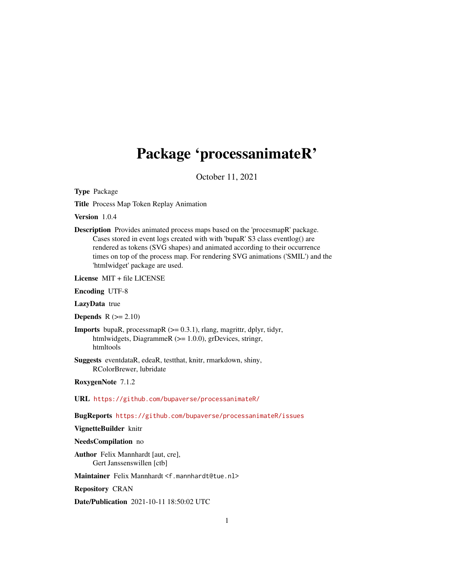# <span id="page-0-0"></span>Package 'processanimateR'

October 11, 2021

Type Package

Title Process Map Token Replay Animation

Version 1.0.4

Description Provides animated process maps based on the 'procesmapR' package. Cases stored in event logs created with with 'bupaR' S3 class eventlog() are rendered as tokens (SVG shapes) and animated according to their occurrence times on top of the process map. For rendering SVG animations ('SMIL') and the 'htmlwidget' package are used.

License MIT + file LICENSE

Encoding UTF-8

LazyData true

**Depends**  $R (= 2.10)$ 

**Imports** bupaR, processmapR  $(>= 0.3.1)$ , rlang, magrittr, dplyr, tidyr, htmlwidgets, DiagrammeR ( $>= 1.0.0$ ), grDevices, stringr, htmltools

Suggests eventdataR, edeaR, testthat, knitr, rmarkdown, shiny, RColorBrewer, lubridate

RoxygenNote 7.1.2

URL <https://github.com/bupaverse/processanimateR/>

BugReports <https://github.com/bupaverse/processanimateR/issues>

VignetteBuilder knitr

NeedsCompilation no

Author Felix Mannhardt [aut, cre], Gert Janssenswillen [ctb]

Maintainer Felix Mannhardt <f.mannhardt@tue.nl>

Repository CRAN

Date/Publication 2021-10-11 18:50:02 UTC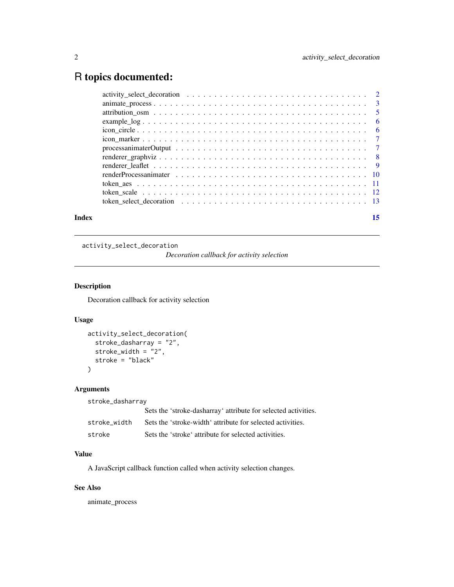## <span id="page-1-0"></span>R topics documented:

| Index | 15 |
|-------|----|
|       |    |
|       |    |
|       |    |
|       |    |
|       |    |
|       |    |
|       |    |
|       |    |
|       |    |
|       |    |
|       |    |
|       |    |
|       |    |

activity\_select\_decoration

*Decoration callback for activity selection*

#### Description

Decoration callback for activity selection

#### Usage

```
activity_select_decoration(
 stroke_dasharray = "2",
 stroke_width = "2",stroke = "black"
)
```
#### Arguments

stroke\_dasharray

|              | Sets the 'stroke-dasharray' attribute for selected activities. |
|--------------|----------------------------------------------------------------|
| stroke width | Sets the 'stroke-width' attribute for selected activities.     |
| stroke       | Sets the 'stroke' attribute for selected activities.           |

#### Value

A JavaScript callback function called when activity selection changes.

#### See Also

animate\_process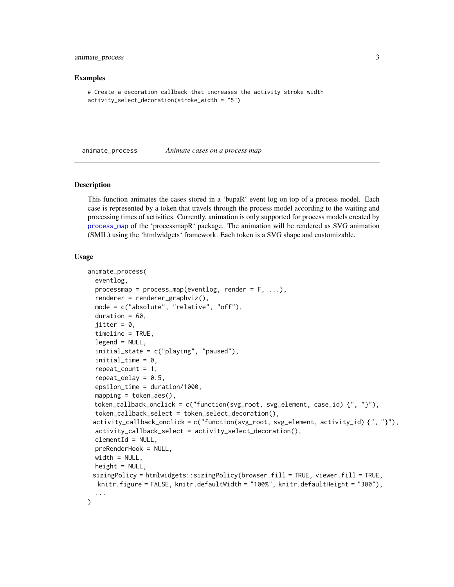#### <span id="page-2-0"></span>animate\_process 3

#### Examples

```
# Create a decoration callback that increases the activity stroke width
activity_select_decoration(stroke_width = "5")
```
<span id="page-2-1"></span>animate\_process *Animate cases on a process map*

#### Description

This function animates the cases stored in a 'bupaR' event log on top of a process model. Each case is represented by a token that travels through the process model according to the waiting and processing times of activities. Currently, animation is only supported for process models created by [process\\_map](#page-0-0) of the 'processmapR' package. The animation will be rendered as SVG animation (SMIL) using the 'htmlwidgets' framework. Each token is a SVG shape and customizable.

#### Usage

```
animate_process(
  eventlog,
  processmap = process_map(eventlog, render = F, ...),renderer = renderer_graphviz(),
  mode = c("absolute", "relative", "off"),
  duration = 60,
  jitter = 0,
  timeline = TRUE,
  legend = NULL,initial_state = c("playing", "paused"),
  initial_time = 0,repeat\_count = 1,
  repeat\_delay = 0.5,
  epsilon_time = duration/1000,
 mapping = token_aes(),
 token_callback_onclick = c("function(svg_root, svg_element, case_id) {", "}"),
  token_callback_select = token_select_decoration(),
 activity_callback_onclick = c("function(svg_root, svg_element, activity_id) {", "}"),
  activity_callback_select = activity_select_decoration(),
  elementId = NULL,preRenderHook = NULL,
 width = NULL,height = NULL,sizingPolicy = htmlwidgets::sizingPolicy(browser.fill = TRUE, viewer.fill = TRUE,
  knitr.figure = FALSE, knitr.defaultWidth = "100%", knitr.defaultHeight = "300"),
  ...
)
```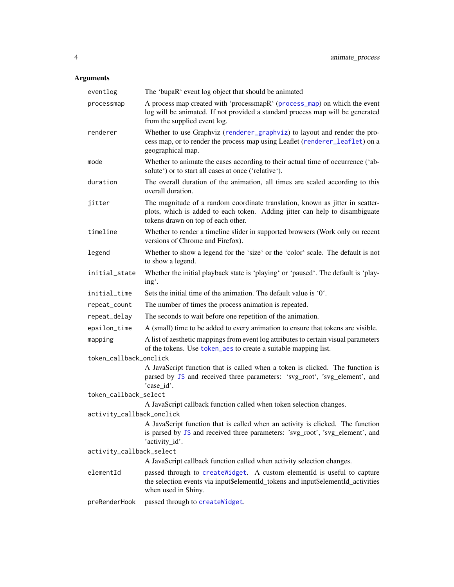<span id="page-3-0"></span>

| eventlog                  | The 'bupaR' event log object that should be animated                                                                                                                                               |
|---------------------------|----------------------------------------------------------------------------------------------------------------------------------------------------------------------------------------------------|
| processmap                | A process map created with 'processmapR' (process_map) on which the event<br>log will be animated. If not provided a standard process map will be generated<br>from the supplied event log.        |
| renderer                  | Whether to use Graphviz (renderer_graphviz) to layout and render the pro-<br>cess map, or to render the process map using Leaflet (renderer_leaflet) on a<br>geographical map.                     |
| mode                      | Whether to animate the cases according to their actual time of occurrence ('ab-<br>solute') or to start all cases at once ('relative').                                                            |
| duration                  | The overall duration of the animation, all times are scaled according to this<br>overall duration.                                                                                                 |
| jitter                    | The magnitude of a random coordinate translation, known as jitter in scatter-<br>plots, which is added to each token. Adding jitter can help to disambiguate<br>tokens drawn on top of each other. |
| timeline                  | Whether to render a timeline slider in supported browsers (Work only on recent<br>versions of Chrome and Firefox).                                                                                 |
| legend                    | Whether to show a legend for the 'size' or the 'color' scale. The default is not<br>to show a legend.                                                                                              |
| initial_state             | Whether the initial playback state is 'playing' or 'paused'. The default is 'play-<br>ing'.                                                                                                        |
| initial_time              | Sets the initial time of the animation. The default value is $0^{\circ}$ .                                                                                                                         |
| repeat_count              | The number of times the process animation is repeated.                                                                                                                                             |
| repeat_delay              | The seconds to wait before one repetition of the animation.                                                                                                                                        |
| epsilon_time              | A (small) time to be added to every animation to ensure that tokens are visible.                                                                                                                   |
| mapping                   | A list of aesthetic mappings from event log attributes to certain visual parameters<br>of the tokens. Use token_aes to create a suitable mapping list.                                             |
| token_callback_onclick    |                                                                                                                                                                                                    |
|                           | A JavaScript function that is called when a token is clicked. The function is<br>parsed by JS and received three parameters: 'svg_root', 'svg_element', and<br>'case_id'.                          |
| token_callback_select     | A JavaScript callback function called when token selection changes.                                                                                                                                |
| activity_callback_onclick | A JavaScript function that is called when an activity is clicked. The function<br>is parsed by JS and received three parameters: 'svg_root', 'svg_element', and<br>'activity_id'.                  |
| activity_callback_select  |                                                                                                                                                                                                    |
|                           | A JavaScript callback function called when activity selection changes.                                                                                                                             |
| elementId                 | passed through to createWidget. A custom elementId is useful to capture<br>the selection events via input\$elementId_tokens and input\$elementId_activities<br>when used in Shiny.                 |
| preRenderHook             | passed through to createWidget.                                                                                                                                                                    |
|                           |                                                                                                                                                                                                    |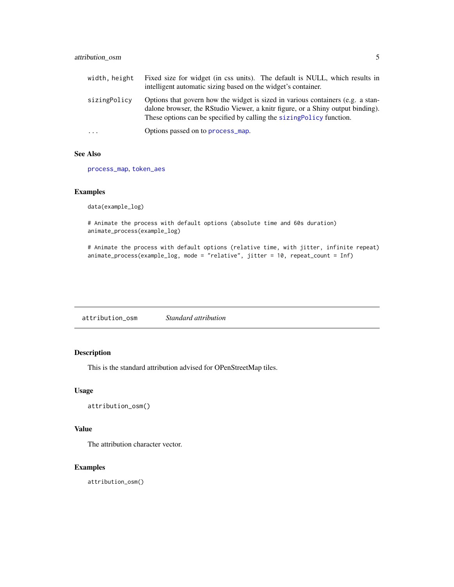<span id="page-4-0"></span>

| width, height           | Fixed size for widget (in css units). The default is NULL, which results in<br>intelligent automatic sizing based on the widget's container.                                                                                                |
|-------------------------|---------------------------------------------------------------------------------------------------------------------------------------------------------------------------------------------------------------------------------------------|
| sizingPolicy            | Options that govern how the widget is sized in various containers (e.g. a stan-<br>dalone browser, the RStudio Viewer, a knitr figure, or a Shiny output binding).<br>These options can be specified by calling the sizing Policy function. |
| $\cdot$ $\cdot$ $\cdot$ | Options passed on to process_map.                                                                                                                                                                                                           |

#### See Also

[process\\_map](#page-0-0), [token\\_aes](#page-10-1)

#### Examples

data(example\_log)

# Animate the process with default options (absolute time and 60s duration) animate\_process(example\_log)

# Animate the process with default options (relative time, with jitter, infinite repeat) animate\_process(example\_log, mode = "relative", jitter = 10, repeat\_count = Inf)

attribution\_osm *Standard attribution*

#### Description

This is the standard attribution advised for OPenStreetMap tiles.

#### Usage

attribution\_osm()

#### Value

The attribution character vector.

#### Examples

attribution\_osm()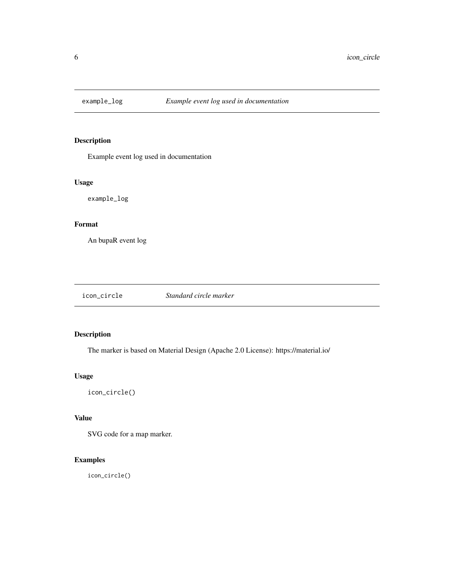<span id="page-5-0"></span>

Example event log used in documentation

#### Usage

example\_log

#### Format

An bupaR event log

| icon_circle | Standard circle marker |
|-------------|------------------------|
|             |                        |

#### Description

The marker is based on Material Design (Apache 2.0 License): https://material.io/

#### Usage

icon\_circle()

#### Value

SVG code for a map marker.

#### Examples

icon\_circle()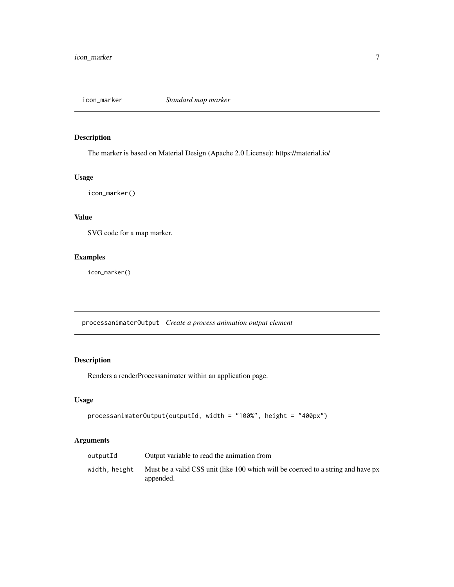<span id="page-6-0"></span>

The marker is based on Material Design (Apache 2.0 License): https://material.io/

#### Usage

icon\_marker()

#### Value

SVG code for a map marker.

#### Examples

icon\_marker()

processanimaterOutput *Create a process animation output element*

#### Description

Renders a renderProcessanimater within an application page.

#### Usage

```
processanimaterOutput(outputId, width = "100%", height = "400px")
```

| outputId      | Output variable to read the animation from                                                    |
|---------------|-----------------------------------------------------------------------------------------------|
| width, height | Must be a valid CSS unit (like 100 which will be coerced to a string and have px<br>appended. |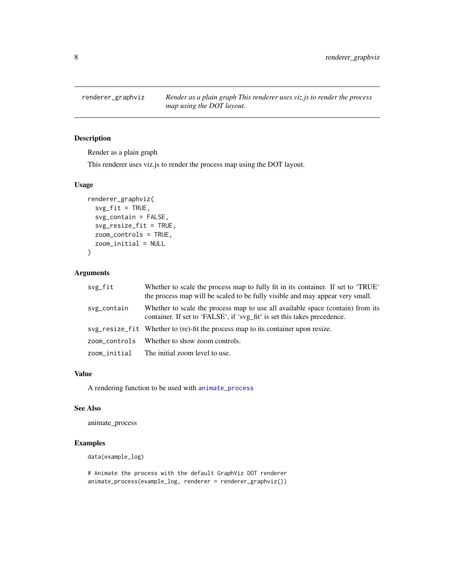<span id="page-7-1"></span><span id="page-7-0"></span>

Render as a plain graph

This renderer uses viz.js to render the process map using the DOT layout.

#### Usage

```
renderer_graphviz(
  svg_fit = TRUE,
  svg_contain = FALSE,
 svg_resize_fit = TRUE,
 zoom_controls = TRUE,
 zoom_initial = NULL
)
```
#### Arguments

| svg_fit       | Whether to scale the process map to fully fit in its container. If set to 'TRUE'<br>the process map will be scaled to be fully visible and may appear very small. |
|---------------|-------------------------------------------------------------------------------------------------------------------------------------------------------------------|
| svg_contain   | Whether to scale the process map to use all available space (contain) from its<br>container. If set to 'FALSE', if 'svg_fit' is set this takes precedence.        |
|               | svg_resize_fit Whether to (re)-fit the process map to its container upon resize.                                                                                  |
| zoom_controls | Whether to show zoom controls.                                                                                                                                    |
| zoom_initial  | The initial zoom level to use.                                                                                                                                    |

#### Value

A rendering function to be used with [animate\\_process](#page-2-1)

#### See Also

animate\_process

#### Examples

data(example\_log)

# Animate the process with the default GraphViz DOT renderer animate\_process(example\_log, renderer = renderer\_graphviz())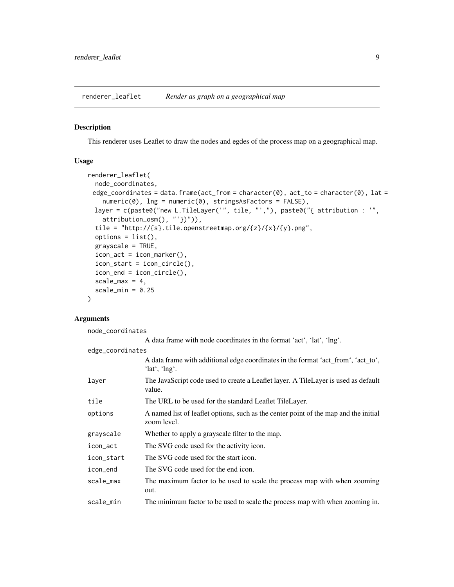<span id="page-8-1"></span><span id="page-8-0"></span>renderer\_leaflet *Render as graph on a geographical map*

#### Description

This renderer uses Leaflet to draw the nodes and egdes of the process map on a geographical map.

#### Usage

```
renderer_leaflet(
  node_coordinates,
 edge_coordinates = data.frame(act_from = character(0), act_to = character(0), lat =
    numeric(0), lng = numeric(0), stringsAsFactors = FALSE),
 layer = c(paste0("new L.TileLayer('", tile, "',"), paste0("{ attribution : '",
    attribution_osm(), "'})")),
  tile = "http://{s}.tile.openstreetmap.org/{z}/{x}/{y}.png",
  options = list(),grayscale = TRUE,
  icon\_act = icon\_marker(),
  icon_start = icon_circle(),
  icon_end = icon_circle(),
  scale_max = 4,
  scale_min = 0.25)
```
#### Arguments

node\_coordinates A data frame with node coordinates in the format 'act', 'lat', 'lng'. edge\_coordinates A data frame with additional edge coordinates in the format 'act\_from', 'act\_to', 'lat', 'lng'. layer The JavaScript code used to create a Leaflet layer. A TileLayer is used as default value. tile The URL to be used for the standard Leaflet TileLayer. options A named list of leaflet options, such as the center point of the map and the initial zoom level. grayscale Whether to apply a grayscale filter to the map. icon\_act The SVG code used for the activity icon. icon\_start The SVG code used for the start icon. icon\_end The SVG code used for the end icon. scale\_max The maximum factor to be used to scale the process map with when zooming out. scale\_min The minimum factor to be used to scale the process map with when zooming in.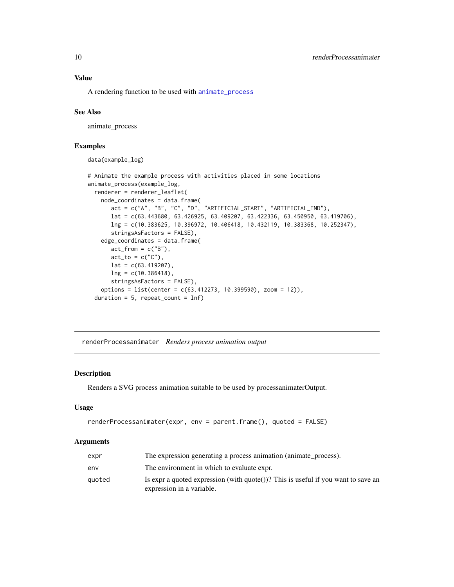A rendering function to be used with [animate\\_process](#page-2-1)

#### See Also

animate\_process

#### Examples

data(example\_log)

```
# Animate the example process with activities placed in some locations
animate_process(example_log,
 renderer = renderer_leaflet(
   node_coordinates = data.frame(
      act = c("A", "B", "C", "D", "ARTIFICIAL_START", "ARTIFICIAL_END"),
      lat = c(63.443680, 63.426925, 63.409207, 63.422336, 63.450950, 63.419706),
      lng = c(10.383625, 10.396972, 10.406418, 10.432119, 10.383368, 10.252347),
      stringsAsFactors = FALSE),
   edge_coordinates = data.frame(
      act\_from = c("B"),
      act_to = c("C"),
      lat = c(63.419207),lng = c(10.386418),
      stringsAsFactors = FALSE),
   options = list(center = c(63.412273, 10.399590), zoom = 12)),
 duration = 5, repeat_count = Inf)
```
renderProcessanimater *Renders process animation output*

#### Description

Renders a SVG process animation suitable to be used by processanimaterOutput.

#### Usage

```
renderProcessanimater(expr, env = parent.frame(), quoted = FALSE)
```

| expr   | The expression generating a process animation (animate_process).                                               |
|--------|----------------------------------------------------------------------------------------------------------------|
| env    | The environment in which to evaluate expr.                                                                     |
| quoted | Is expr a quoted expression (with quote())? This is useful if you want to save an<br>expression in a variable. |

<span id="page-9-0"></span>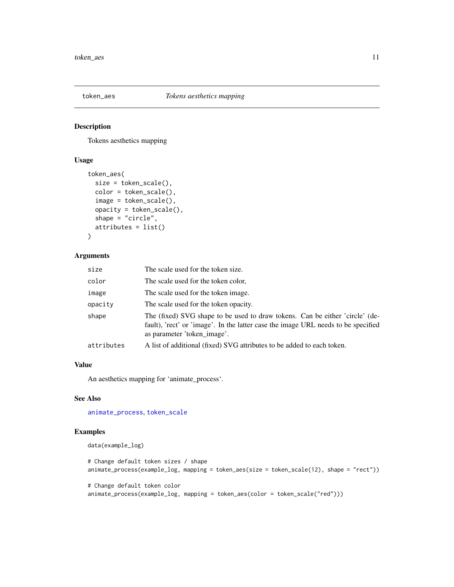<span id="page-10-1"></span><span id="page-10-0"></span>

Tokens aesthetics mapping

#### Usage

```
token_aes(
  size = token_scale(),
  color = token_scale(),
  image = token_scale(),
  opacity = token_scale(),
  shape = "circle",
  attributes = list()
)
```
#### Arguments

| size       | The scale used for the token size.                                                                                                                                                               |
|------------|--------------------------------------------------------------------------------------------------------------------------------------------------------------------------------------------------|
| color      | The scale used for the token color,                                                                                                                                                              |
| image      | The scale used for the token image.                                                                                                                                                              |
| opacity    | The scale used for the token opacity.                                                                                                                                                            |
| shape      | The (fixed) SVG shape to be used to draw tokens. Can be either 'circle' (de-<br>fault), 'rect' or 'image'. In the latter case the image URL needs to be specified<br>as parameter 'token_image'. |
| attributes | A list of additional (fixed) SVG attributes to be added to each token.                                                                                                                           |

#### Value

An aesthetics mapping for 'animate\_process'.

#### See Also

[animate\\_process](#page-2-1), [token\\_scale](#page-11-1)

#### Examples

```
data(example_log)
```

```
# Change default token sizes / shape
animate_process(example_log, mapping = token_aes(size = token_scale(12), shape = "rect"))
# Change default token color
animate_process(example_log, mapping = token_aes(color = token_scale("red")))
```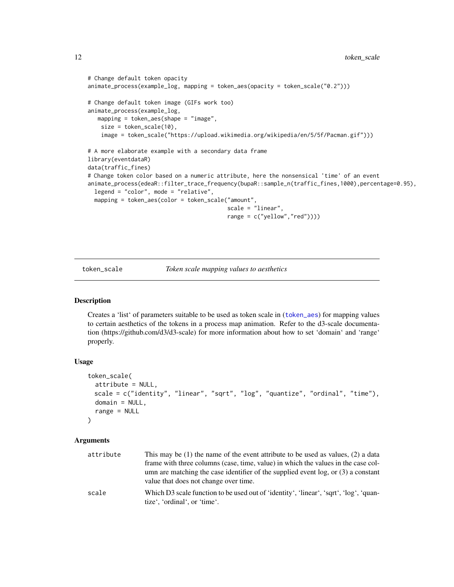```
# Change default token opacity
animate_process(example_log, mapping = token_aes(opacity = token_scale("0.2")))
# Change default token image (GIFs work too)
animate_process(example_log,
  mapping = token_aes(shape = "image",
   size = token_scale(10),
   image = token_scale("https://upload.wikimedia.org/wikipedia/en/5/5f/Pacman.gif")))
# A more elaborate example with a secondary data frame
library(eventdataR)
data(traffic_fines)
# Change token color based on a numeric attribute, here the nonsensical 'time' of an event
animate_process(edeaR::filter_trace_frequency(bupaR::sample_n(traffic_fines,1000),percentage=0.95),
 legend = "color", mode = "relative",
 mapping = token_aes(color = token_scale("amount",
                                          scale = "linear",
                                          range = c("yellow","red"))))
```
<span id="page-11-1"></span>token\_scale *Token scale mapping values to aesthetics*

#### Description

Creates a 'list' of parameters suitable to be used as token scale in ([token\\_aes](#page-10-1)) for mapping values to certain aesthetics of the tokens in a process map animation. Refer to the d3-scale documentation (https://github.com/d3/d3-scale) for more information about how to set 'domain' and 'range' properly.

#### Usage

```
token_scale(
  attribute = NULL,
 scale = c("identity", "linear", "sqrt", "log", "quantize", "ordinal", "time"),
 domain = NULL,
  range = NULL
)
```

| attribute | This may be $(1)$ the name of the event attribute to be used as values, $(2)$ a data<br>frame with three columns (case, time, value) in which the values in the case col-<br>umn are matching the case identifier of the supplied event $log$ , or $(3)$ a constant<br>value that does not change over time. |
|-----------|--------------------------------------------------------------------------------------------------------------------------------------------------------------------------------------------------------------------------------------------------------------------------------------------------------------|
| scale     | Which D3 scale function to be used out of 'identity', 'linear', 'sqrt', 'log', 'quan-<br>tize', 'ordinal', or 'time'.                                                                                                                                                                                        |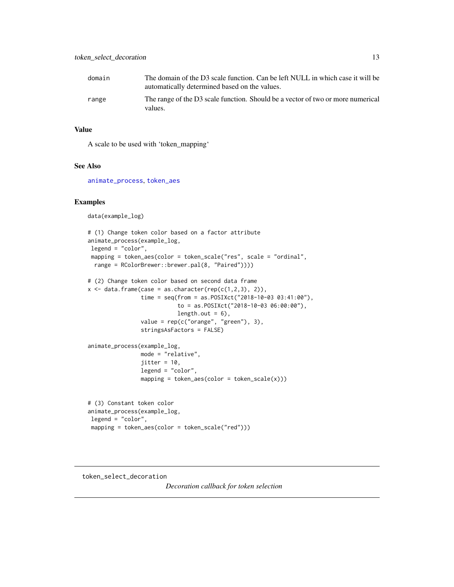<span id="page-12-0"></span>

| domain | The domain of the D3 scale function. Can be left NULL in which case it will be<br>automatically determined based on the values. |
|--------|---------------------------------------------------------------------------------------------------------------------------------|
| range  | The range of the D3 scale function. Should be a vector of two or more numerical<br>values.                                      |

#### Value

A scale to be used with 'token\_mapping'

#### See Also

[animate\\_process](#page-2-1), [token\\_aes](#page-10-1)

#### Examples

data(example\_log)

```
# (1) Change token color based on a factor attribute
animate_process(example_log,
legend = "color",
mapping = token_aes(color = token_scale("res", scale = "ordinal",
 range = RColorBrewer::brewer.pal(8, "Paired"))))
```

```
# (2) Change token color based on second data frame
```

```
x \leftarrow data.frame(case = as.character(rep(c(1,2,3), 2)),
```

```
time = seq(from = as.POSIXct("2018-10-03 03:41:00"),
          to = as.POSIXct("2018-10-03 06:00:00"),
          length.out = 6,
value = rep(c("orange", "green"), 3),
```

```
stringsAsFactors = FALSE)
```

```
animate_process(example_log,
                mode = "relative",
                jitter = 10,
                legend = "color",
                mapping = token\_aes(color = token\_scale(x)))
```

```
# (3) Constant token color
animate_process(example_log,
legend = "color",
mapping = token_aes(color = token_scale("red")))
```
#### token\_select\_decoration

*Decoration callback for token selection*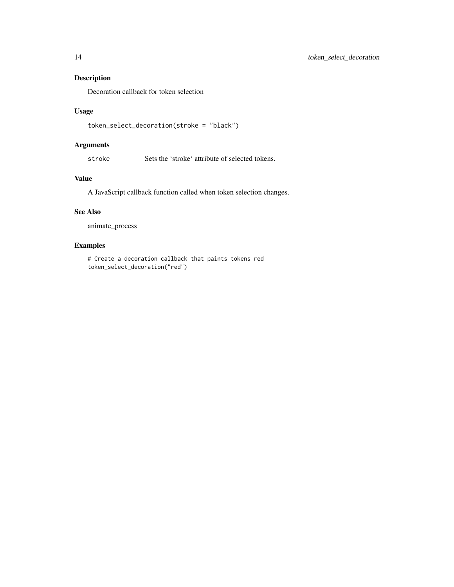Decoration callback for token selection

#### Usage

```
token_select_decoration(stroke = "black")
```
#### Arguments

stroke Sets the 'stroke' attribute of selected tokens.

#### Value

A JavaScript callback function called when token selection changes.

#### See Also

animate\_process

#### Examples

# Create a decoration callback that paints tokens red token\_select\_decoration("red")